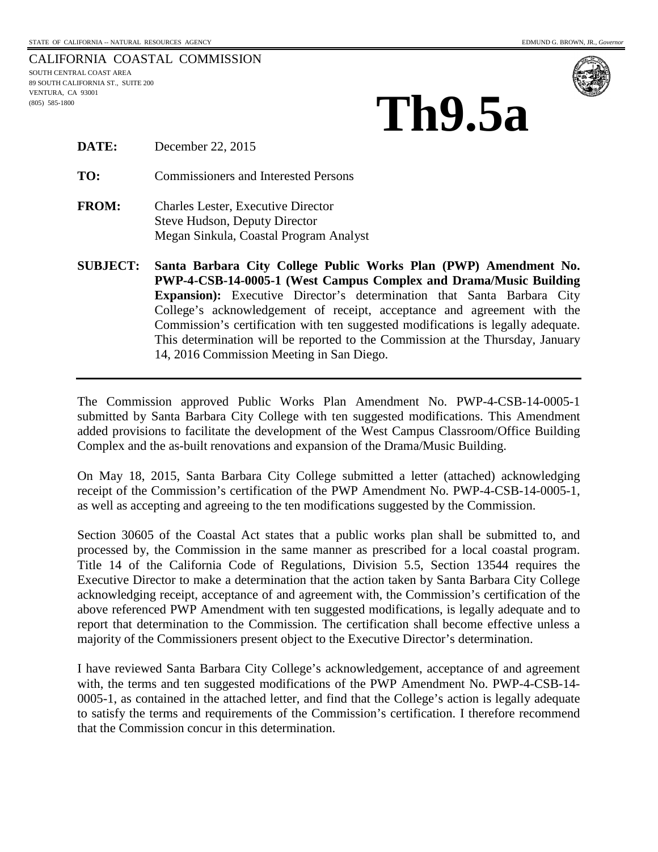CALIFORNIA COASTAL COMMISSION SOUTH CENTRAL COAST AREA 89 SOUTH CALIFORNIA ST., SUITE 200 VENTURA, CA 93001 (805) 585-1800



| <b>DATE:</b> | December 22, 2015 |
|--------------|-------------------|
|--------------|-------------------|

**TO:** Commissioners and Interested Persons

- **FROM:** Charles Lester, Executive Director Steve Hudson, Deputy Director Megan Sinkula, Coastal Program Analyst
- **SUBJECT: Santa Barbara City College Public Works Plan (PWP) Amendment No. PWP-4-CSB-14-0005-1 (West Campus Complex and Drama/Music Building Expansion):** Executive Director's determination that Santa Barbara City College's acknowledgement of receipt, acceptance and agreement with the Commission's certification with ten suggested modifications is legally adequate. This determination will be reported to the Commission at the Thursday, January 14, 2016 Commission Meeting in San Diego.

The Commission approved Public Works Plan Amendment No. PWP-4-CSB-14-0005-1 submitted by Santa Barbara City College with ten suggested modifications. This Amendment added provisions to facilitate the development of the West Campus Classroom/Office Building Complex and the as-built renovations and expansion of the Drama/Music Building.

On May 18, 2015, Santa Barbara City College submitted a letter (attached) acknowledging receipt of the Commission's certification of the PWP Amendment No. PWP-4-CSB-14-0005-1, as well as accepting and agreeing to the ten modifications suggested by the Commission.

Section 30605 of the Coastal Act states that a public works plan shall be submitted to, and processed by, the Commission in the same manner as prescribed for a local coastal program. Title 14 of the California Code of Regulations, Division 5.5, Section 13544 requires the Executive Director to make a determination that the action taken by Santa Barbara City College acknowledging receipt, acceptance of and agreement with, the Commission's certification of the above referenced PWP Amendment with ten suggested modifications, is legally adequate and to report that determination to the Commission. The certification shall become effective unless a majority of the Commissioners present object to the Executive Director's determination.

I have reviewed Santa Barbara City College's acknowledgement, acceptance of and agreement with, the terms and ten suggested modifications of the PWP Amendment No. PWP-4-CSB-14- 0005-1, as contained in the attached letter, and find that the College's action is legally adequate to satisfy the terms and requirements of the Commission's certification. I therefore recommend that the Commission concur in this determination.